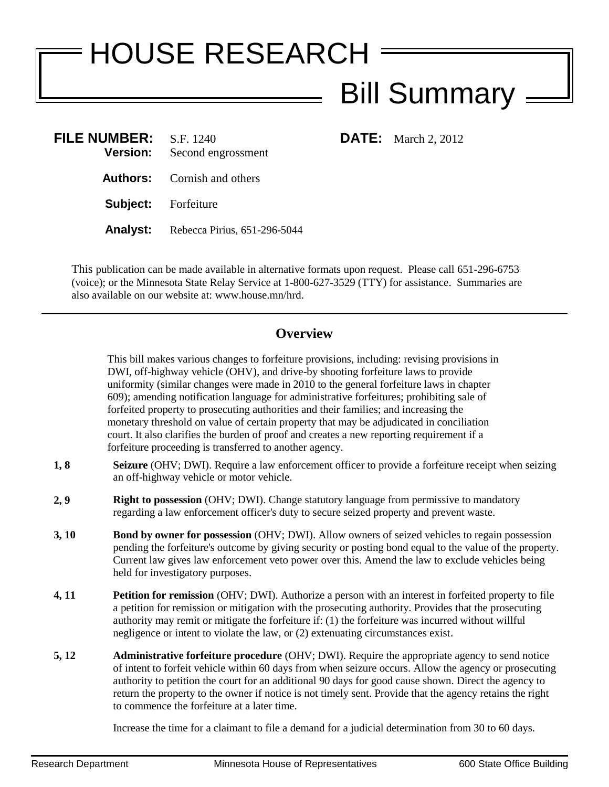## HOUSE RESEARCH **Bill Summary**.

**FILE:** March 2, 2012

| <b>FILE NUMBER:</b><br><b>Version:</b> | S.F. 1240<br>Second engrossment              |
|----------------------------------------|----------------------------------------------|
|                                        | <b>Authors:</b> Cornish and others           |
| <b>Subject:</b> Forfeiture             |                                              |
|                                        | <b>Analyst:</b> Rebecca Pirius, 651-296-5044 |

This publication can be made available in alternative formats upon request. Please call 651-296-6753 (voice); or the Minnesota State Relay Service at 1-800-627-3529 (TTY) for assistance. Summaries are also available on our website at: www.house.mn/hrd.

## **Overview**

This bill makes various changes to forfeiture provisions, including: revising provisions in DWI, off-highway vehicle (OHV), and drive-by shooting forfeiture laws to provide uniformity (similar changes were made in 2010 to the general forfeiture laws in chapter 609); amending notification language for administrative forfeitures; prohibiting sale of forfeited property to prosecuting authorities and their families; and increasing the monetary threshold on value of certain property that may be adjudicated in conciliation court. It also clarifies the burden of proof and creates a new reporting requirement if a forfeiture proceeding is transferred to another agency.

- **1, 8 Seizure** (OHV; DWI). Require a law enforcement officer to provide a forfeiture receipt when seizing an off-highway vehicle or motor vehicle.
- **2, 9 Right to possession** (OHV; DWI). Change statutory language from permissive to mandatory regarding a law enforcement officer's duty to secure seized property and prevent waste.
- **3, 10 Bond by owner for possession** (OHV; DWI). Allow owners of seized vehicles to regain possession pending the forfeiture's outcome by giving security or posting bond equal to the value of the property. Current law gives law enforcement veto power over this. Amend the law to exclude vehicles being held for investigatory purposes.
- **4, 11 Petition for remission** (OHV; DWI). Authorize a person with an interest in forfeited property to file a petition for remission or mitigation with the prosecuting authority. Provides that the prosecuting authority may remit or mitigate the forfeiture if: (1) the forfeiture was incurred without willful negligence or intent to violate the law, or (2) extenuating circumstances exist.
- **5, 12 Administrative forfeiture procedure** (OHV; DWI). Require the appropriate agency to send notice of intent to forfeit vehicle within 60 days from when seizure occurs. Allow the agency or prosecuting authority to petition the court for an additional 90 days for good cause shown. Direct the agency to return the property to the owner if notice is not timely sent. Provide that the agency retains the right to commence the forfeiture at a later time.

Increase the time for a claimant to file a demand for a judicial determination from 30 to 60 days.